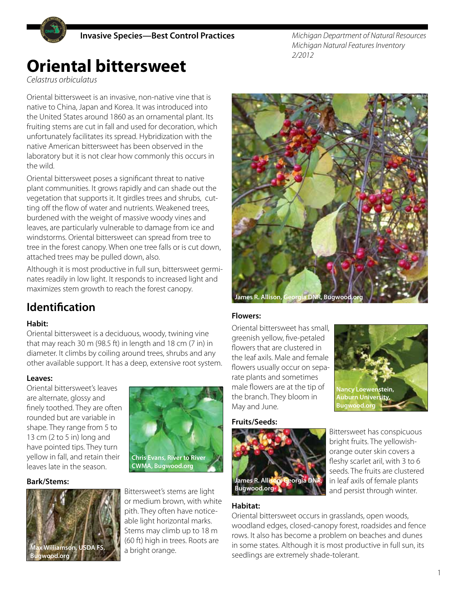

*Michigan Department of Natural Resources Michigan Natural Features Inventory 2/2012*

## **Oriental bittersweet**

*Celastrus orbiculatus*

Oriental bittersweet is an invasive, non-native vine that is native to China, Japan and Korea. It was introduced into the United States around 1860 as an ornamental plant. Its fruiting stems are cut in fall and used for decoration, which unfortunately facilitates its spread. Hybridization with the native American bittersweet has been observed in the laboratory but it is not clear how commonly this occurs in the wild.

Oriental bittersweet poses a significant threat to native plant communities. It grows rapidly and can shade out the vegetation that supports it. It girdles trees and shrubs, cutting off the flow of water and nutrients. Weakened trees, burdened with the weight of massive woody vines and leaves, are particularly vulnerable to damage from ice and windstorms. Oriental bittersweet can spread from tree to tree in the forest canopy. When one tree falls or is cut down, attached trees may be pulled down, also.

Although it is most productive in full sun, bittersweet germinates readily in low light. It responds to increased light and maximizes stem growth to reach the forest canopy.

## **Identification**

## **Habit:**

Oriental bittersweet is a deciduous, woody, twining vine that may reach 30 m (98.5 ft) in length and 18 cm (7 in) in diameter. It climbs by coiling around trees, shrubs and any other available support. It has a deep, extensive root system.

#### **Leaves:**

Oriental bittersweet's leaves are alternate, glossy and finely toothed. They are often rounded but are variable in shape. They range from 5 to 13 cm (2 to 5 in) long and have pointed tips. They turn yellow in fall, and retain their leaves late in the season.

#### **Bark/Stems:**





Bittersweet's stems are light or medium brown, with white pith. They often have noticeable light horizontal marks. Stems may climb up to 18 m (60 ft) high in trees. Roots are a bright orange.



## **Flowers:**

Oriental bittersweet has small, greenish yellow, five-petaled flowers that are clustered in the leaf axils. Male and female flowers usually occur on separate plants and sometimes male flowers are at the tip of the branch. They bloom in May and June.

# **Nancy Loewenstein, Auburn University, Bugwood.org**

#### **Fruits/Seeds:**



Bittersweet has conspicuous bright fruits. The yellowishorange outer skin covers a fleshy scarlet aril, with 3 to 6 seeds. The fruits are clustered in leaf axils of female plants and persist through winter.

## **Habitat:**

Oriental bittersweet occurs in grasslands, open woods, woodland edges, closed-canopy forest, roadsides and fence rows. It also has become a problem on beaches and dunes in some states. Although it is most productive in full sun, its seedlings are extremely shade-tolerant.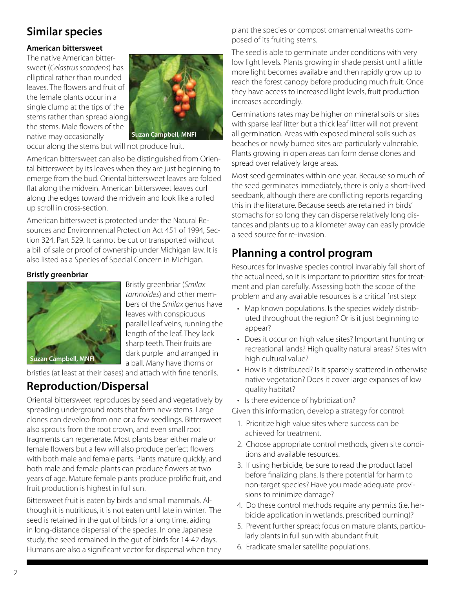## **Similar species**

### **American bittersweet**

The native American bittersweet (*Celastrus scandens*) has elliptical rather than rounded leaves. The flowers and fruit of the female plants occur in a single clump at the tips of the stems rather than spread along the stems. Male flowers of the native may occasionally



occur along the stems but will not produce fruit.

American bittersweet can also be distinguished from Oriental bittersweet by its leaves when they are just beginning to emerge from the bud. Oriental bittersweet leaves are folded flat along the midvein. American bittersweet leaves curl along the edges toward the midvein and look like a rolled up scroll in cross-section.

American bittersweet is protected under the Natural Resources and Environmental Protection Act 451 of 1994, Section 324, Part 529. It cannot be cut or transported without a bill of sale or proof of ownership under Michigan law. It is also listed as a Species of Special Concern in Michigan.

#### **Bristly greenbriar**



Bristly greenbriar (*Smilax tamnoides*) and other members of the *Smilax* genus have leaves with conspicuous parallel leaf veins, running the length of the leaf. They lack sharp teeth. Their fruits are dark purple and arranged in a ball. Many have thorns or

bristles (at least at their bases) and attach with fine tendrils.

## **Reproduction/Dispersal**

Oriental bittersweet reproduces by seed and vegetatively by spreading underground roots that form new stems. Large clones can develop from one or a few seedlings. Bittersweet also sprouts from the root crown, and even small root fragments can regenerate. Most plants bear either male or female flowers but a few will also produce perfect flowers with both male and female parts. Plants mature quickly, and both male and female plants can produce flowers at two years of age. Mature female plants produce prolific fruit, and fruit production is highest in full sun.

Bittersweet fruit is eaten by birds and small mammals. Although it is nutritious, it is not eaten until late in winter. The seed is retained in the gut of birds for a long time, aiding in long-distance dispersal of the species. In one Japanese study, the seed remained in the gut of birds for 14-42 days. Humans are also a significant vector for dispersal when they plant the species or compost ornamental wreaths composed of its fruiting stems.

The seed is able to germinate under conditions with very low light levels. Plants growing in shade persist until a little more light becomes available and then rapidly grow up to reach the forest canopy before producing much fruit. Once they have access to increased light levels, fruit production increases accordingly.

Germinations rates may be higher on mineral soils or sites with sparse leaf litter but a thick leaf litter will not prevent all germination. Areas with exposed mineral soils such as beaches or newly burned sites are particularly vulnerable. Plants growing in open areas can form dense clones and spread over relatively large areas.

Most seed germinates within one year. Because so much of the seed germinates immediately, there is only a short-lived seedbank, although there are conflicting reports regarding this in the literature. Because seeds are retained in birds' stomachs for so long they can disperse relatively long distances and plants up to a kilometer away can easily provide a seed source for re-invasion.

## **Planning a control program**

Resources for invasive species control invariably fall short of the actual need, so it is important to prioritize sites for treatment and plan carefully. Assessing both the scope of the problem and any available resources is a critical first step:

- Map known populations. Is the species widely distributed throughout the region? Or is it just beginning to appear?
- Does it occur on high value sites? Important hunting or recreational lands? High quality natural areas? Sites with high cultural value?
- How is it distributed? Is it sparsely scattered in otherwise native vegetation? Does it cover large expanses of low quality habitat?
- Is there evidence of hybridization?

Given this information, develop a strategy for control:

- 1. Prioritize high value sites where success can be achieved for treatment.
- 2. Choose appropriate control methods, given site conditions and available resources.
- 3. If using herbicide, be sure to read the product label before finalizing plans. Is there potential for harm to non-target species? Have you made adequate provisions to minimize damage?
- 4. Do these control methods require any permits (i.e. herbicide application in wetlands, prescribed burning)?
- 5. Prevent further spread; focus on mature plants, particularly plants in full sun with abundant fruit.
- 6. Eradicate smaller satellite populations.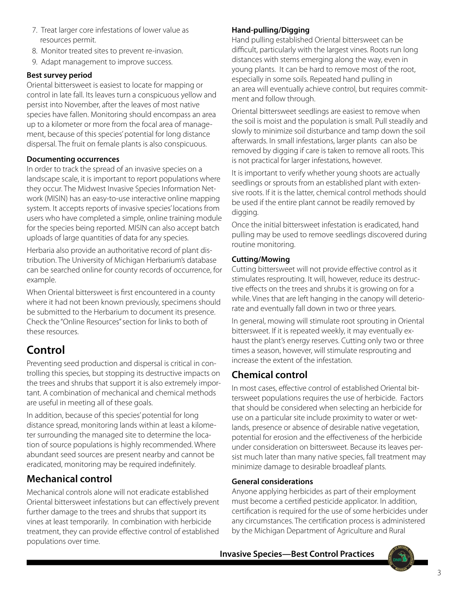- 7. Treat larger core infestations of lower value as resources permit.
- 8. Monitor treated sites to prevent re-invasion.
- 9. Adapt management to improve success.

## **Best survey period**

Oriental bittersweet is easiest to locate for mapping or control in late fall. Its leaves turn a conspicuous yellow and persist into November, after the leaves of most native species have fallen. Monitoring should encompass an area up to a kilometer or more from the focal area of management, because of this species' potential for long distance dispersal. The fruit on female plants is also conspicuous.

## **Documenting occurrences**

In order to track the spread of an invasive species on a landscape scale, it is important to report populations where they occur. The Midwest Invasive Species Information Network (MISIN) has an easy-to-use interactive online mapping system. It accepts reports of invasive species' locations from users who have completed a simple, online training module for the species being reported. MISIN can also accept batch uploads of large quantities of data for any species.

Herbaria also provide an authoritative record of plant distribution. The University of Michigan Herbarium's database can be searched online for county records of occurrence, for example.

When Oriental bittersweet is first encountered in a county where it had not been known previously, specimens should be submitted to the Herbarium to document its presence. Check the "Online Resources" section for links to both of these resources.

## **Control**

Preventing seed production and dispersal is critical in controlling this species, but stopping its destructive impacts on the trees and shrubs that support it is also extremely important. A combination of mechanical and chemical methods are useful in meeting all of these goals.

In addition, because of this species' potential for long distance spread, monitoring lands within at least a kilometer surrounding the managed site to determine the location of source populations is highly recommended. Where abundant seed sources are present nearby and cannot be eradicated, monitoring may be required indefinitely.

## **Mechanical control**

Mechanical controls alone will not eradicate established Oriental bittersweet infestations but can effectively prevent further damage to the trees and shrubs that support its vines at least temporarily. In combination with herbicide treatment, they can provide effective control of established populations over time.

## **Hand-pulling/Digging**

Hand pulling established Oriental bittersweet can be difficult, particularly with the largest vines. Roots run long distances with stems emerging along the way, even in young plants. It can be hard to remove most of the root, especially in some soils. Repeated hand pulling in an area will eventually achieve control, but requires commitment and follow through.

Oriental bittersweet seedlings are easiest to remove when the soil is moist and the population is small. Pull steadily and slowly to minimize soil disturbance and tamp down the soil afterwards. In small infestations, larger plants can also be removed by digging if care is taken to remove all roots. This is not practical for larger infestations, however.

It is important to verify whether young shoots are actually seedlings or sprouts from an established plant with extensive roots. If it is the latter, chemical control methods should be used if the entire plant cannot be readily removed by digging.

Once the initial bittersweet infestation is eradicated, hand pulling may be used to remove seedlings discovered during routine monitoring.

## **Cutting/Mowing**

Cutting bittersweet will not provide effective control as it stimulates resprouting. It will, however, reduce its destructive effects on the trees and shrubs it is growing on for a while. Vines that are left hanging in the canopy will deteriorate and eventually fall down in two or three years.

In general, mowing will stimulate root sprouting in Oriental bittersweet. If it is repeated weekly, it may eventually exhaust the plant's energy reserves. Cutting only two or three times a season, however, will stimulate resprouting and increase the extent of the infestation.

## **Chemical control**

In most cases, effective control of established Oriental bittersweet populations requires the use of herbicide. Factors that should be considered when selecting an herbicide for use on a particular site include proximity to water or wetlands, presence or absence of desirable native vegetation, potential for erosion and the effectiveness of the herbicide under consideration on bittersweet. Because its leaves persist much later than many native species, fall treatment may minimize damage to desirable broadleaf plants.

## **General considerations**

Anyone applying herbicides as part of their employment must become a certified pesticide applicator. In addition, certification is required for the use of some herbicides under any circumstances. The certification process is administered by the Michigan Department of Agriculture and Rural

**Invasive Species—Best Control Practices**

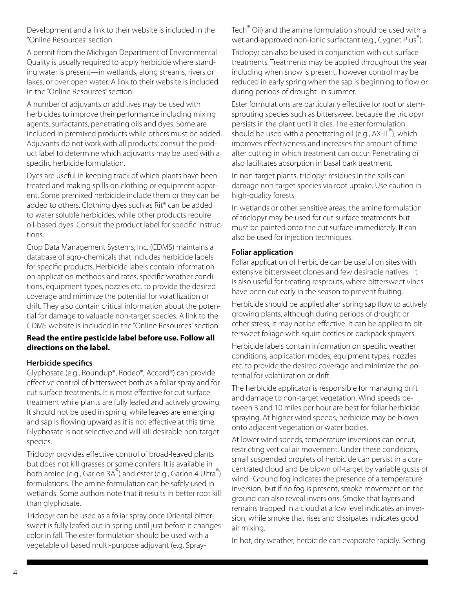Development and a link to their website is included in the "Online Resources" section.

A permit from the Michigan Department of Environmental Quality is usually required to apply herbicide where standing water is present—in wetlands, along streams, rivers or lakes, or over open water. A link to their website is included in the "Online Resources" section.

A number of adjuvants or additives may be used with herbicides to improve their performance including mixing agents, surfactants, penetrating oils and dyes. Some are included in premixed products while others must be added. Adjuvants do not work with all products; consult the product label to determine which adjuvants may be used with a specific herbicide formulation.

Dyes are useful in keeping track of which plants have been treated and making spills on clothing or equipment apparent. Some premixed herbicide include them or they can be added to others. Clothing dyes such as Rit® can be added to water soluble herbicides, while other products require oil-based dyes. Consult the product label for specific instructions.

Crop Data Management Systems, Inc. (CDMS) maintains a database of agro-chemicals that includes herbicide labels for specific products. Herbicide labels contain information on application methods and rates, specific weather conditions, equipment types, nozzles etc. to provide the desired coverage and minimize the potential for volatilization or drift. They also contain critical information about the potential for damage to valuable non-target species. A link to the CDMS website is included in the "Online Resources" section.

#### **Read the entire pesticide label before use. Follow all directions on the label.**

#### **Herbicide specifics**

Glyphosate (e.g., Roundup®, Rodeo®, Accord®) can provide effective control of bittersweet both as a foliar spray and for cut surface treatments. It is most effective for cut surface treatment while plants are fully leafed and actively growing. It should not be used in spring, while leaves are emerging and sap is flowing upward as it is not effective at this time. Glyphosate is not selective and will kill desirable non-target species.

Triclopyr provides effective control of broad-leaved plants but does not kill grasses or some conifers. It is available in both amine (e.g., Garlon 3A®) and ester (e.g., Garlon 4 Ultra®) formulations. The amine formulation can be safely used in wetlands. Some authors note that it results in better root kill than glyphosate.

Triclopyr can be used as a foliar spray once Oriental bittersweet is fully leafed out in spring until just before it changes color in fall. The ester formulation should be used with a vegetable oil based multi-purpose adjuvant (e.g. SprayTech® Oil) and the amine formulation should be used with a wetland-approved non-ionic surfactant (e.g., Cygnet Plus<sup>®</sup>).

Triclopyr can also be used in conjunction with cut surface treatments. Treatments may be applied throughout the year including when snow is present, however control may be reduced in early spring when the sap is beginning to flow or during periods of drought in summer.

Ester formulations are particularly effective for root or stemsprouting species such as bittersweet because the triclopyr persists in the plant until it dies. The ester formulation should be used with a penetrating oil (e.g.,  $AX-IT^{\prime\prime}$ ), which improves effectiveness and increases the amount of time after cutting in which treatment can occur. Penetrating oil also facilitates absorption in basal bark treatment.

In non-target plants, triclopyr residues in the soils can damage non-target species via root uptake. Use caution in high-quality forests.

In wetlands or other sensitive areas, the amine formulation of triclopyr may be used for cut-surface treatments but must be painted onto the cut surface immediately. It can also be used for injection techniques.

#### **Foliar application**

Foliar application of herbicide can be useful on sites with extensive bittersweet clones and few desirable natives. It is also useful for treating resprouts, where bittersweet vines have been cut early in the season to prevent fruiting.

Herbicide should be applied after spring sap flow to actively growing plants, although during periods of drought or other stress, it may not be effective. It can be applied to bittersweet foliage with squirt bottles or backpack sprayers.

Herbicide labels contain information on specific weather conditions, application modes, equipment types, nozzles etc. to provide the desired coverage and minimize the potential for volatilization or drift.

The herbicide applicator is responsible for managing drift and damage to non-target vegetation. Wind speeds between 3 and 10 miles per hour are best for foliar herbicide spraying. At higher wind speeds, herbicide may be blown onto adjacent vegetation or water bodies.

At lower wind speeds, temperature inversions can occur, restricting vertical air movement. Under these conditions, small suspended droplets of herbicide can persist in a concentrated cloud and be blown off-target by variable gusts of wind. Ground fog indicates the presence of a temperature inversion, but if no fog is present, smoke movement on the ground can also reveal inversions. Smoke that layers and remains trapped in a cloud at a low level indicates an inversion, while smoke that rises and dissipates indicates good air mixing.

In hot, dry weather, herbicide can evaporate rapidly. Setting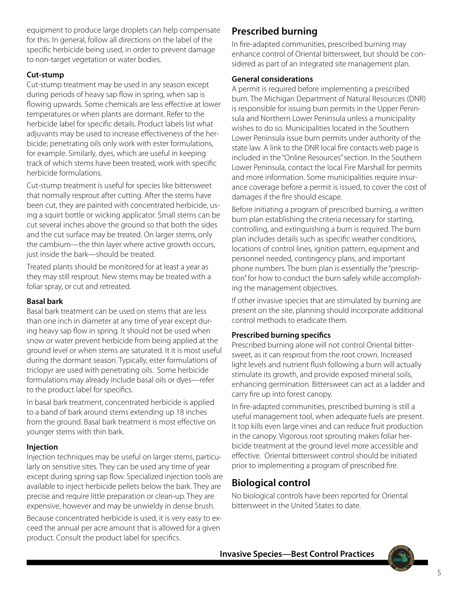equipment to produce large droplets can help compensate for this. In general, follow all directions on the label of the specific herbicide being used, in order to prevent damage to non-target vegetation or water bodies.

### **Cut-stump**

Cut-stump treatment may be used in any season except during periods of heavy sap flow in spring, when sap is flowing upwards. Some chemicals are less effective at lower temperatures or when plants are dormant. Refer to the herbicide label for specific details. Product labels list what adjuvants may be used to increase effectiveness of the herbicide; penetrating oils only work with ester formulations, for example. Similarly, dyes, which are useful in keeping track of which stems have been treated, work with specific herbicide formulations.

Cut-stump treatment is useful for species like bittersweet that normally resprout after cutting. After the stems have been cut, they are painted with concentrated herbicide, using a squirt bottle or wicking applicator. Small stems can be cut several inches above the ground so that both the sides and the cut surface may be treated. On larger stems, only the cambium—the thin layer where active growth occurs, just inside the bark—should be treated.

Treated plants should be monitored for at least a year as they may still resprout. New stems may be treated with a foliar spray, or cut and retreated.

#### **Basal bark**

Basal bark treatment can be used on stems that are less than one inch in diameter at any time of year except during heavy sap flow in spring. It should not be used when snow or water prevent herbicide from being applied at the ground level or when stems are saturated. It it is most useful during the dormant season. Typically, ester formulations of triclopyr are used with penetrating oils. Some herbicide formulations may already include basal oils or dyes—refer to the product label for specifics.

In basal bark treatment, concentrated herbicide is applied to a band of bark around stems extending up 18 inches from the ground. Basal bark treatment is most effective on younger stems with thin bark.

## **Injection**

Injection techniques may be useful on larger stems, particularly on sensitive sites. They can be used any time of year except during spring sap flow. Specialized injection tools are available to inject herbicide pellets below the bark. They are precise and require little preparation or clean-up. They are expensive, however and may be unwieldy in dense brush.

Because concentrated herbicide is used, it is very easy to exceed the annual per acre amount that is allowed for a given product. Consult the product label for specifics.

## **Prescribed burning**

In fire-adapted communities, prescribed burning may enhance control of Oriental bittersweet, but should be considered as part of an integrated site management plan.

#### **General considerations**

A permit is required before implementing a prescribed burn. The Michigan Department of Natural Resources (DNR) is responsible for issuing burn permits in the Upper Peninsula and Northern Lower Peninsula unless a municipality wishes to do so. Municipalities located in the Southern Lower Peninsula issue burn permits under authority of the state law. A link to the DNR local fire contacts web page is included in the "Online Resources" section. In the Southern Lower Peninsula, contact the local Fire Marshall for permits and more information. Some municipalities require insurance coverage before a permit is issued, to cover the cost of damages if the fire should escape.

Before initiating a program of prescribed burning, a written burn plan establishing the criteria necessary for starting, controlling, and extinguishing a burn is required. The burn plan includes details such as specific weather conditions, locations of control lines, ignition pattern, equipment and personnel needed, contingency plans, and important phone numbers. The burn plan is essentially the "prescription" for how to conduct the burn safely while accomplishing the management objectives.

If other invasive species that are stimulated by burning are present on the site, planning should incorporate additional control methods to eradicate them.

## **Prescribed burning specifics**

Prescribed burning alone will not control Oriental bittersweet, as it can resprout from the root crown. Increased light levels and nutrient flush following a burn will actually stimulate its growth, and provide exposed mineral soils, enhancing germination. Bittersweet can act as a ladder and carry fire up into forest canopy.

In fire-adapted communities, prescribed burning is still a useful management tool, when adequate fuels are present. It top kills even large vines and can reduce fruit production in the canopy. Vigorous root sprouting makes foliar herbicide treatment at the ground level more accessible and effective. Oriental bittersweet control should be initiated prior to implementing a program of prescribed fire.

## **Biological control**

No biological controls have been reported for Oriental bittersweet in the United States to date.

**Invasive Species—Best Control Practices**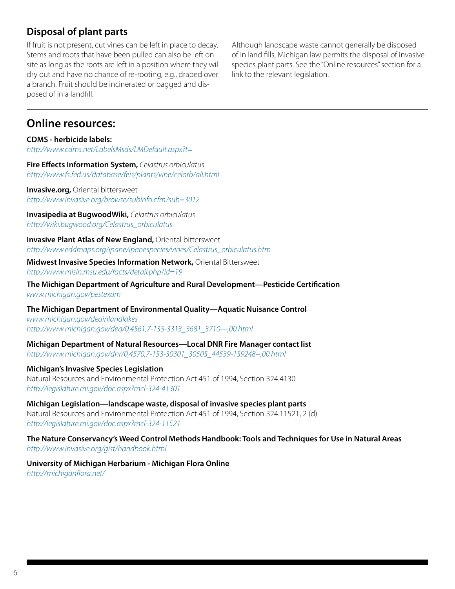## **Disposal of plant parts**

If fruit is not present, cut vines can be left in place to decay. Stems and roots that have been pulled can also be left on site as long as the roots are left in a position where they will dry out and have no chance of re-rooting, e.g., draped over a branch. Fruit should be incinerated or bagged and disposed of in a landfill.

Although landscape waste cannot generally be disposed of in land fills, Michigan law permits the disposal of invasive species plant parts. See the "Online resources" section for a link to the relevant legislation.

## **Online resources:**

**CDMS - herbicide labels:** *http://www.cdms.net/LabelsMsds/LMDefault.aspx?t=*

**Fire Effects Information System,** *Celastrus orbiculatus http://www.fs.fed.us/database/feis/plants/vine/celorb/all.html*

**Invasive.org, Oriental bittersweet** *http://www.invasive.org/browse/subinfo.cfm?sub=3012*

**Invasipedia at BugwoodWiki,** *Celastrus orbiculatus http://wiki.bugwood.org/Celastrus\_orbiculatus*

**Invasive Plant Atlas of New England,** Oriental bittersweet *http://www.eddmaps.org/ipane/ipanespecies/vines/Celastrus\_orbiculatus.htm*

#### **Midwest Invasive Species Information Network,** Oriental Bittersweet *http://www.misin.msu.edu/facts/detail.php?id=19*

**The Michigan Department of Agriculture and Rural Development—Pesticide Certification** *www.michigan.gov/pestexam* 

**The Michigan Department of Environmental Quality—Aquatic Nuisance Control**

*www.michigan.gov/deqinlandlakes [http://www.michigan.gov/deq/0,4561,7-135-3313\\_3681\\_3710---,00.html](http://www.michigan.gov/deq/0,4561,7-135-3313_3681_3710---,00.html)*

**Michigan Department of Natural Resources—Local DNR Fire Manager contact list** *[http://www.michigan.gov/dnr/0,4570,7-153-30301\\_30505\\_44539-159248--,00.html](http://www.michigan.gov/dnr/0,4570,7-153-30301_30505_44539-159248--,00.html)*

#### **Michigan's Invasive Species Legislation**

Natural Resources and Environmental Protection Act 451 of 1994, Section 324.4130 *http://legislature.mi.gov/doc.aspx?mcl-324-41301*

**Michigan Legislation—landscape waste, disposal of invasive species plant parts** Natural Resources and Environmental Protection Act 451 of 1994, Section 324.11521, 2 (d) *http://legislature.mi.gov/doc.aspx?mcl-324-11521*

**The Nature Conservancy's Weed Control Methods Handbook: Tools and Techniques for Use in Natural Areas** *http://www.invasive.org/gist/handbook.html*

**University of Michigan Herbarium - Michigan Flora Online** *http://michiganflora.net/*